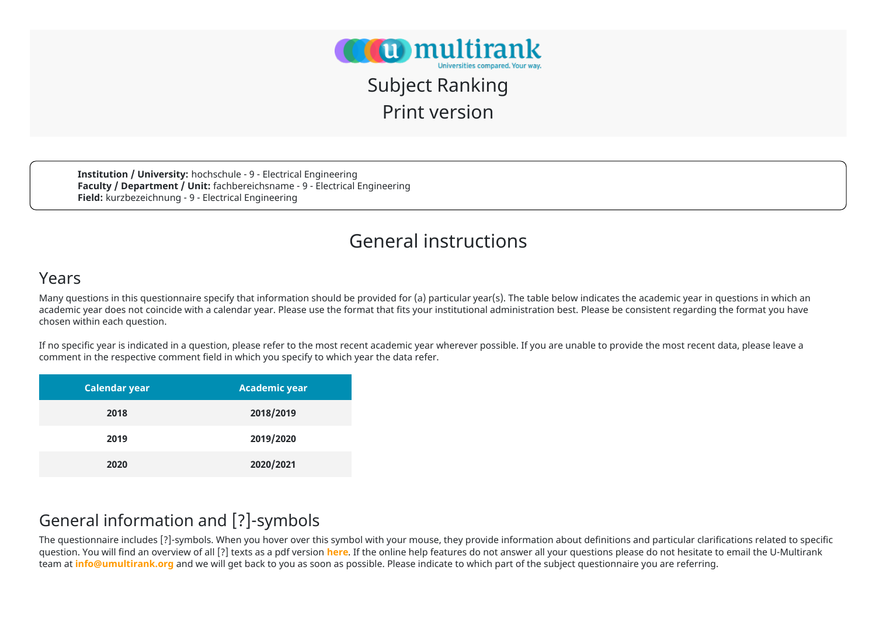

## Subject Ranking Print version

**Institution / University:** hochschule - 9 - Electrical Engineering **Faculty / Department / Unit:** fachbereichsname - 9 - Electrical Engineering **Field:** kurzbezeichnung - 9 - Electrical Engineering

### General instructions

#### Years

Many questions in this questionnaire specify that information should be provided for (a) particular year(s). The table below indicates the academic year in questions in which an academic year does not coincide with a calendar year. Please use the format that fits your institutional administration best. Please be consistent regarding the format you have chosen within each question.

If no specific year is indicated in a question, please refer to the most recent academic year wherever possible. If you are unable to provide the most recent data, please leave a comment in the respective comment field in which you specify to which year the data refer.

| <b>Calendar year</b> | <b>Academic year</b> |
|----------------------|----------------------|
| 2018                 | 2018/2019            |
| 2019                 | 2019/2020            |
| 2020                 | 2020/2021            |

#### General information and [?]-symbols

The questionnaire includes [?]-symbols. When you hover over this symbol with your mouse, they provide information about definitions and particular clarifications related to specific question. You will find an overview of all [?] texts as a pdf version **[here](https://www.umultirank.org/press-media/documents/2022_umultir_subject_faq.pdf)**. If the online help features do not answer all your questions please do not hesitate to email the U-Multirank team at **[info@umultirank.org](mailto:info@umultirank.org)** and we will get back to you as soon as possible. Please indicate to which part of the subject questionnaire you are referring.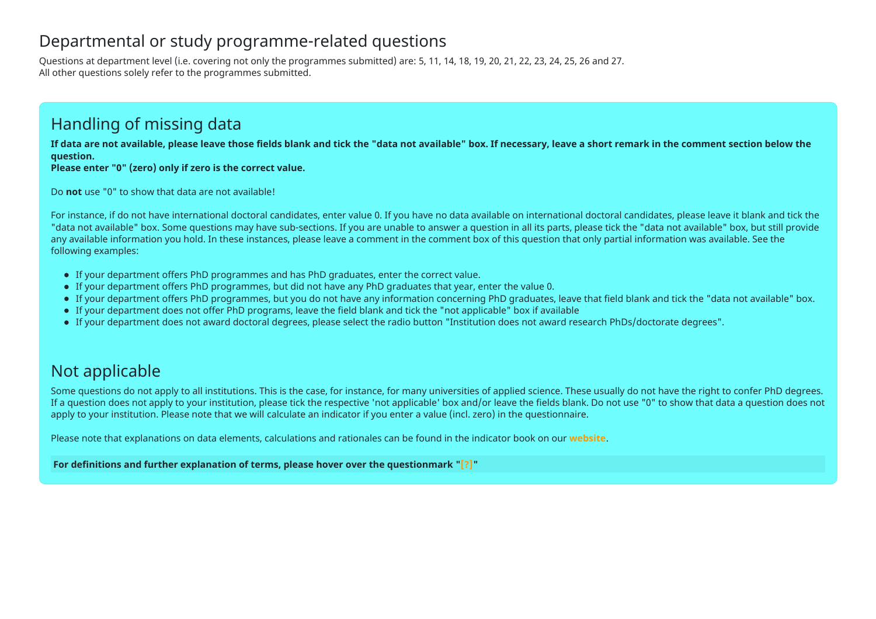#### Departmental or study programme-related questions

Questions at department level (i.e. covering not only the programmes submitted) are: 5, 11, 14, 18, 19, 20, 21, 22, 23, 24, 25, 26 and 27. All other questions solely refer to the programmes submitted.

#### Handling of missing data

**If data are not available, please leave those fields blank and tick the "data not available" box. If necessary, leave a short remark in the comment section below the question.** 

**Please enter "0" (zero) only if zero is the correct value.**

Do **not** use "0" to show that data are not available!

For instance, if do not have international doctoral candidates, enter value 0. If you have no data available on international doctoral candidates, please leave it blank and tick the "data not available" box. Some questions may have sub-sections. If you are unable to answer a question in all its parts, please tick the "data not available" box, but still provide any available information you hold. In these instances, please leave a comment in the comment box of this question that only partial information was available. See the following examples:

- If your department offers PhD programmes and has PhD graduates, enter the correct value.
- If your department offers PhD programmes, but did not have any PhD graduates that year, enter the value 0.
- If your department offers PhD programmes, but you do not have any information concerning PhD graduates, leave that field blank and tick the "data not available" box.
- If your department does not offer PhD programs, leave the field blank and tick the "not applicable" box if available
- If your department does not award doctoral degrees, please select the radio button "Institution does not award research PhDs/doctorate degrees".

#### Not applicable

Some questions do not apply to all institutions. This is the case, for instance, for many universities of applied science. These usually do not have the right to confer PhD degrees. If a question does not apply to your institution, please tick the respective 'not applicable' box and/or leave the fields blank. Do not use "0" to show that data a question does not apply to your institution. Please note that we will calculate an indicator if you enter a value (incl. zero) in the questionnaire.

Please note that explanations on data elements, calculations and rationales can be found in the indicator book on our **[website](https://www.umultirank.org/press-media/documents/Indicator-Book-2021.pdf)**.

**For definitions and further explanation of terms, please hover over the questionmark "[?]"**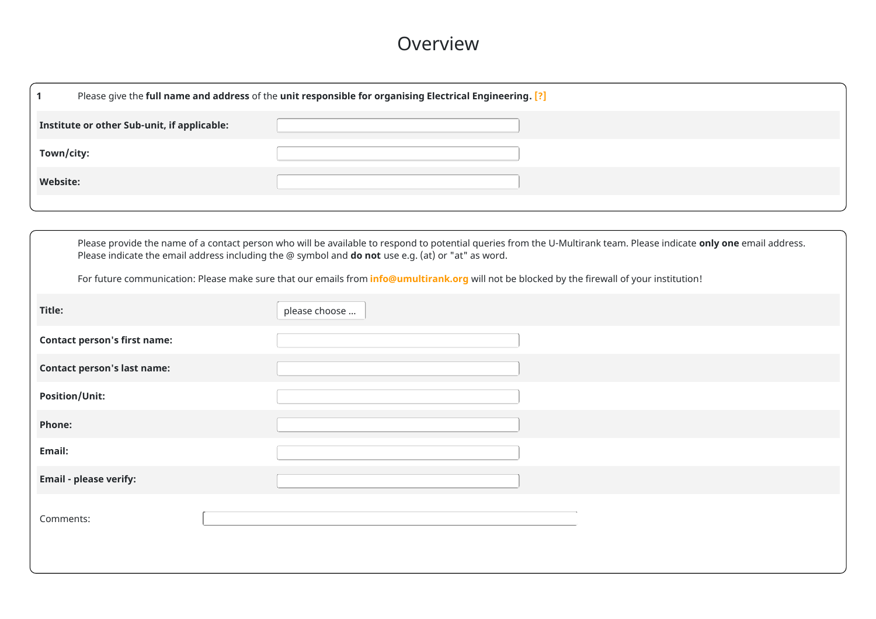#### Overview

|                 | Please give the full name and address of the unit responsible for organising Electrical Engineering. [?] |  |  |  |  |  |
|-----------------|----------------------------------------------------------------------------------------------------------|--|--|--|--|--|
|                 | Institute or other Sub-unit, if applicable:                                                              |  |  |  |  |  |
| Town/city:      |                                                                                                          |  |  |  |  |  |
| <b>Website:</b> |                                                                                                          |  |  |  |  |  |
|                 |                                                                                                          |  |  |  |  |  |

|                                     | Please provide the name of a contact person who will be available to respond to potential queries from the U-Multirank team. Please indicate only one email address.<br>Please indicate the email address including the @ symbol and do not use e.g. (at) or "at" as word. |  |  |  |  |  |  |  |
|-------------------------------------|----------------------------------------------------------------------------------------------------------------------------------------------------------------------------------------------------------------------------------------------------------------------------|--|--|--|--|--|--|--|
|                                     | For future communication: Please make sure that our emails from <i>info@umultirank.org</i> will not be blocked by the firewall of your institution!                                                                                                                        |  |  |  |  |  |  |  |
| Title:                              | please choose                                                                                                                                                                                                                                                              |  |  |  |  |  |  |  |
| <b>Contact person's first name:</b> |                                                                                                                                                                                                                                                                            |  |  |  |  |  |  |  |
| <b>Contact person's last name:</b>  |                                                                                                                                                                                                                                                                            |  |  |  |  |  |  |  |
| <b>Position/Unit:</b>               |                                                                                                                                                                                                                                                                            |  |  |  |  |  |  |  |
| Phone:                              |                                                                                                                                                                                                                                                                            |  |  |  |  |  |  |  |
| Email:                              |                                                                                                                                                                                                                                                                            |  |  |  |  |  |  |  |
| <b>Email - please verify:</b>       |                                                                                                                                                                                                                                                                            |  |  |  |  |  |  |  |
| Comments:                           |                                                                                                                                                                                                                                                                            |  |  |  |  |  |  |  |
|                                     |                                                                                                                                                                                                                                                                            |  |  |  |  |  |  |  |
|                                     |                                                                                                                                                                                                                                                                            |  |  |  |  |  |  |  |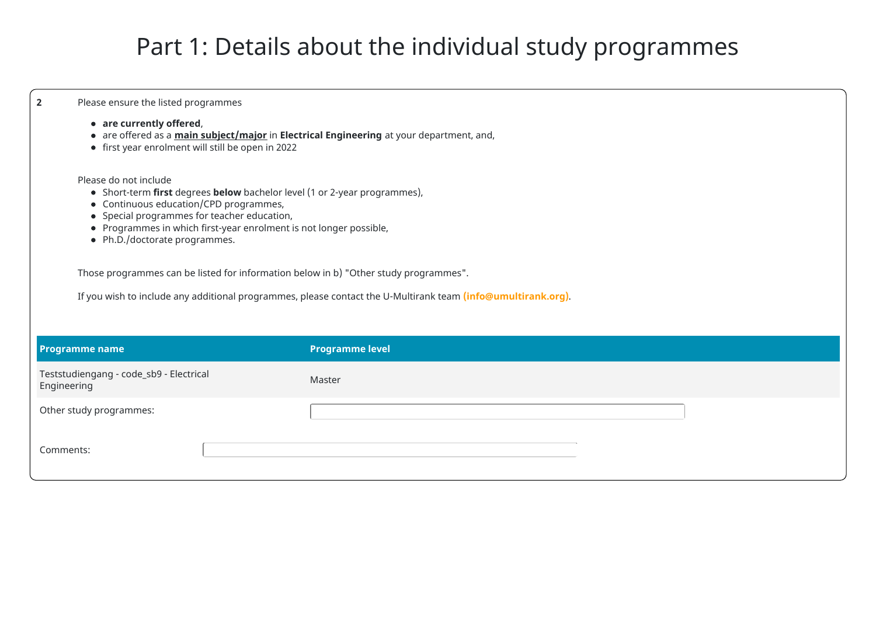# Part 1: Details about the individual study programmes

| $\overline{2}$ | Please ensure the listed programmes                                                                                                                                                                                                                                                                                                                                                        |                                                                                                              |  |  |  |  |  |
|----------------|--------------------------------------------------------------------------------------------------------------------------------------------------------------------------------------------------------------------------------------------------------------------------------------------------------------------------------------------------------------------------------------------|--------------------------------------------------------------------------------------------------------------|--|--|--|--|--|
|                | • are currently offered,<br>• are offered as a <i>main subject/major</i> in Electrical Engineering at your department, and,<br>• first year enrolment will still be open in 2022                                                                                                                                                                                                           |                                                                                                              |  |  |  |  |  |
|                | Please do not include<br>• Short-term first degrees below bachelor level (1 or 2-year programmes),<br>• Continuous education/CPD programmes,<br>• Special programmes for teacher education,<br>• Programmes in which first-year enrolment is not longer possible,<br>• Ph.D./doctorate programmes.<br>Those programmes can be listed for information below in b) "Other study programmes". | If you wish to include any additional programmes, please contact the U-Multirank team (info@umultirank.org). |  |  |  |  |  |
|                | <b>Programme name</b>                                                                                                                                                                                                                                                                                                                                                                      | <b>Programme level</b>                                                                                       |  |  |  |  |  |
|                | Teststudiengang - code_sb9 - Electrical                                                                                                                                                                                                                                                                                                                                                    | Master                                                                                                       |  |  |  |  |  |
| Engineering    |                                                                                                                                                                                                                                                                                                                                                                                            |                                                                                                              |  |  |  |  |  |
|                | Other study programmes:                                                                                                                                                                                                                                                                                                                                                                    |                                                                                                              |  |  |  |  |  |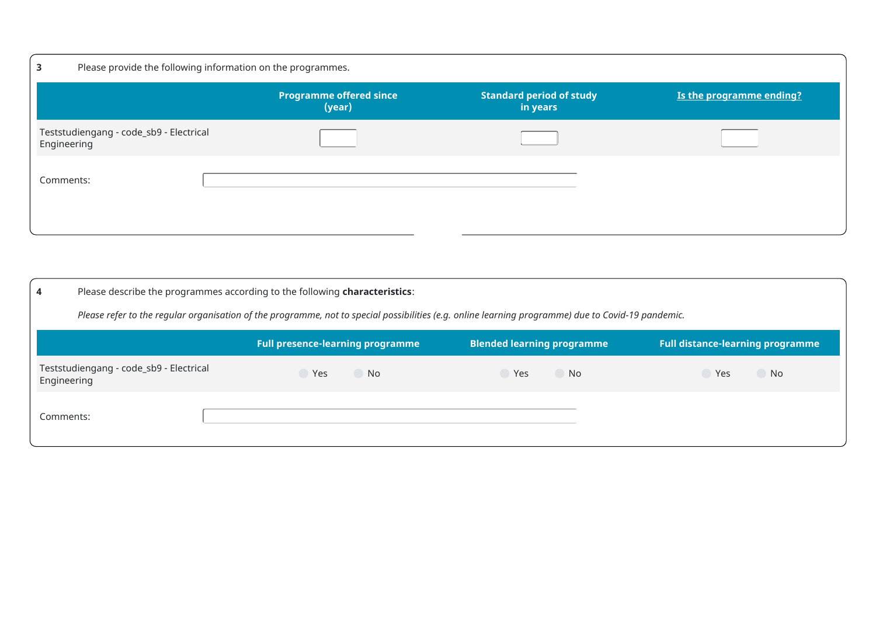| 3                                                      | Please provide the following information on the programmes. |                                             |                          |  |  |  |  |  |
|--------------------------------------------------------|-------------------------------------------------------------|---------------------------------------------|--------------------------|--|--|--|--|--|
|                                                        | <b>Programme offered since</b><br>(year)                    | <b>Standard period of study</b><br>in years | Is the programme ending? |  |  |  |  |  |
| Teststudiengang - code_sb9 - Electrical<br>Engineering |                                                             |                                             |                          |  |  |  |  |  |
| Comments:                                              |                                                             |                                             |                          |  |  |  |  |  |

| 4                                                      | Please describe the programmes according to the following characteristics:                                                                         |                  |           |  |  |  |  |  |  |
|--------------------------------------------------------|----------------------------------------------------------------------------------------------------------------------------------------------------|------------------|-----------|--|--|--|--|--|--|
|                                                        | Please refer to the regular organisation of the programme, not to special possibilities (e.g. online learning programme) due to Covid-19 pandemic. |                  |           |  |  |  |  |  |  |
|                                                        | <b>Full distance-learning programme</b><br><b>Full presence-learning programme</b><br><b>Blended learning programme</b>                            |                  |           |  |  |  |  |  |  |
| Teststudiengang - code_sb9 - Electrical<br>Engineering | Yes<br><b>No</b>                                                                                                                                   | Yes<br><b>No</b> | No<br>Yes |  |  |  |  |  |  |
| Comments:                                              |                                                                                                                                                    |                  |           |  |  |  |  |  |  |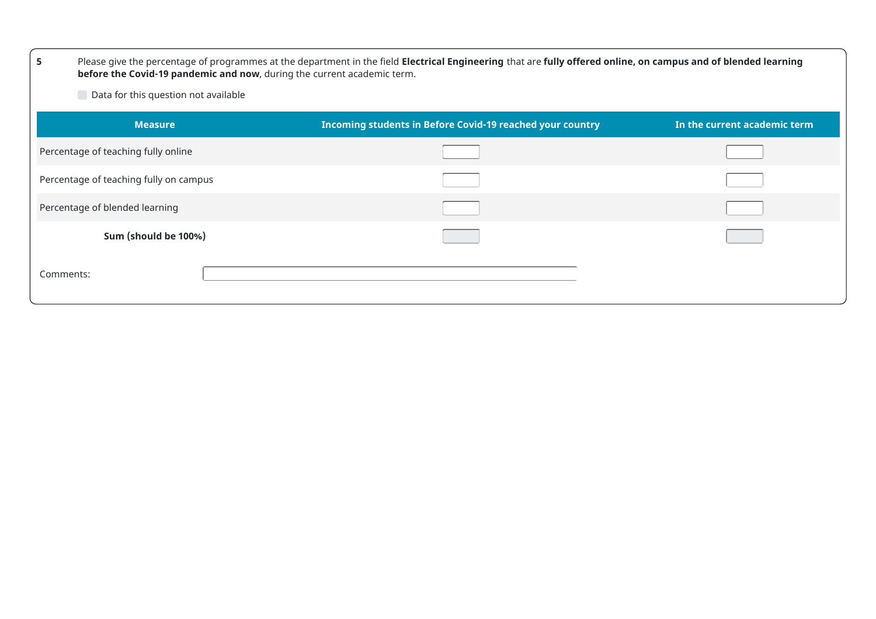| 5                                      | Please give the percentage of programmes at the department in the field Electrical Engineering that are fully offered online, on campus and of blended learning<br>before the Covid-19 pandemic and now, during the current academic term. |                              |  |  |  |  |  |  |
|----------------------------------------|--------------------------------------------------------------------------------------------------------------------------------------------------------------------------------------------------------------------------------------------|------------------------------|--|--|--|--|--|--|
| Data for this question not available   |                                                                                                                                                                                                                                            |                              |  |  |  |  |  |  |
| <b>Measure</b>                         | Incoming students in Before Covid-19 reached your country                                                                                                                                                                                  | In the current academic term |  |  |  |  |  |  |
| Percentage of teaching fully online    |                                                                                                                                                                                                                                            |                              |  |  |  |  |  |  |
| Percentage of teaching fully on campus |                                                                                                                                                                                                                                            |                              |  |  |  |  |  |  |
| Percentage of blended learning         |                                                                                                                                                                                                                                            |                              |  |  |  |  |  |  |
| Sum (should be 100%)                   |                                                                                                                                                                                                                                            |                              |  |  |  |  |  |  |
| Comments:                              |                                                                                                                                                                                                                                            |                              |  |  |  |  |  |  |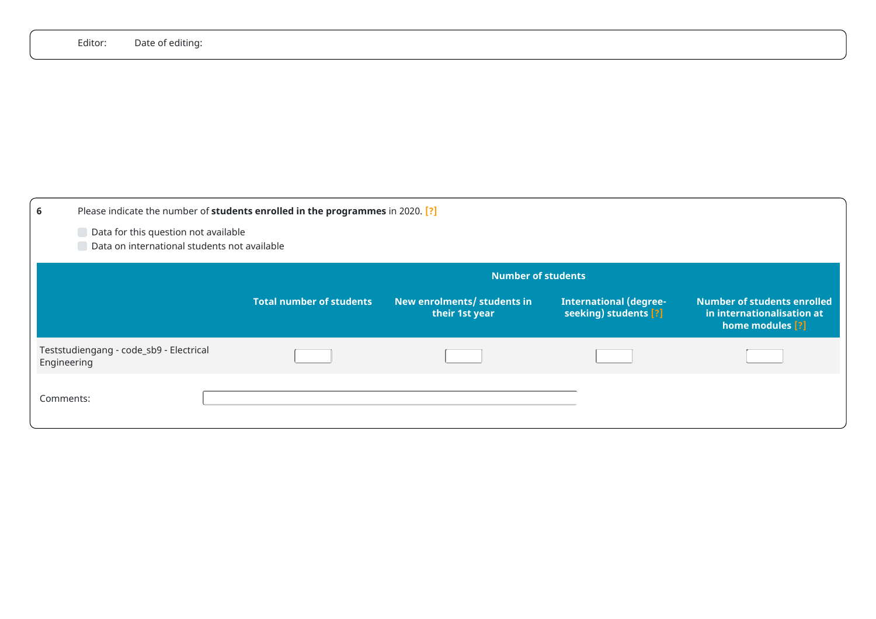|             | Editor:<br>Date of editing:                                                          |                                                                                |                                               |                                                        |                                                                                      |
|-------------|--------------------------------------------------------------------------------------|--------------------------------------------------------------------------------|-----------------------------------------------|--------------------------------------------------------|--------------------------------------------------------------------------------------|
|             |                                                                                      |                                                                                |                                               |                                                        |                                                                                      |
|             |                                                                                      |                                                                                |                                               |                                                        |                                                                                      |
|             |                                                                                      |                                                                                |                                               |                                                        |                                                                                      |
|             |                                                                                      |                                                                                |                                               |                                                        |                                                                                      |
|             |                                                                                      |                                                                                |                                               |                                                        |                                                                                      |
|             |                                                                                      |                                                                                |                                               |                                                        |                                                                                      |
| 6           |                                                                                      | Please indicate the number of students enrolled in the programmes in 2020. [?] |                                               |                                                        |                                                                                      |
|             | Data for this question not available<br>Data on international students not available |                                                                                |                                               |                                                        |                                                                                      |
|             |                                                                                      |                                                                                | <b>Number of students</b>                     |                                                        |                                                                                      |
|             |                                                                                      | <b>Total number of students</b>                                                | New enrolments/ students in<br>their 1st year | <b>International (degree-</b><br>seeking) students [?] | <b>Number of students enrolled</b><br>in internationalisation at<br>home modules [?] |
| Engineering | Teststudiengang - code_sb9 - Electrical                                              |                                                                                |                                               |                                                        |                                                                                      |
| Comments:   |                                                                                      |                                                                                |                                               |                                                        |                                                                                      |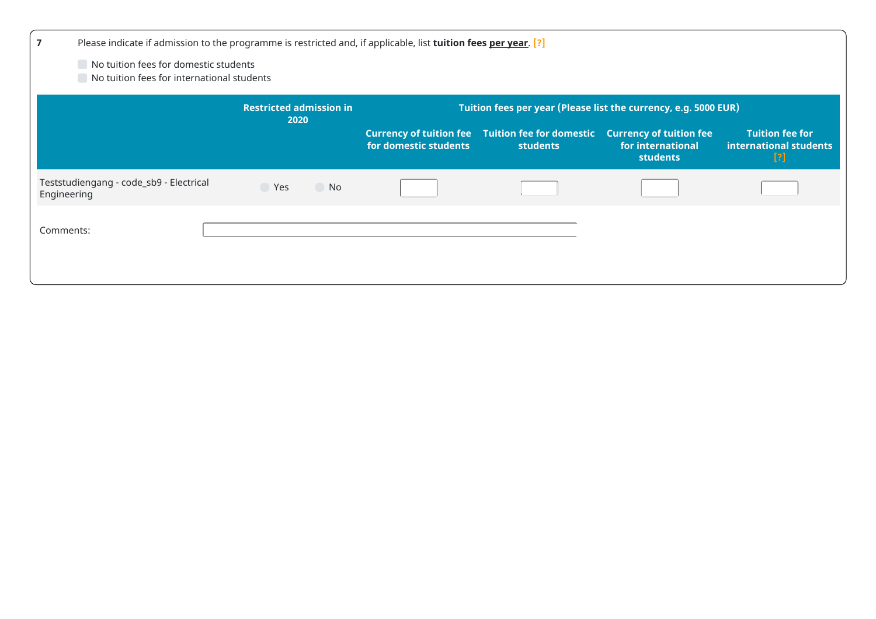| $\overline{\mathbf{z}}$ | Please indicate if admission to the programme is restricted and, if applicable, list tuition fees per year. [?] |                      |                       |                                                                            |                                                                        |                                                         |  |  |
|-------------------------|-----------------------------------------------------------------------------------------------------------------|----------------------|-----------------------|----------------------------------------------------------------------------|------------------------------------------------------------------------|---------------------------------------------------------|--|--|
|                         | No tuition fees for domestic students<br>No tuition fees for international students                             |                      |                       |                                                                            |                                                                        |                                                         |  |  |
|                         | Tuition fees per year (Please list the currency, e.g. 5000 EUR)<br><b>Restricted admission in</b><br>2020       |                      |                       |                                                                            |                                                                        |                                                         |  |  |
|                         |                                                                                                                 |                      | for domestic students | <b>Currency of tuition fee</b> Tuition fee for domestic<br><b>students</b> | <b>Currency of tuition fee</b><br>for international<br><b>students</b> | <b>Tuition fee for</b><br>international students<br>[?] |  |  |
| Engineering             | Teststudiengang - code_sb9 - Electrical                                                                         | $\bigcirc$ Yes<br>No |                       |                                                                            |                                                                        |                                                         |  |  |
| Comments:               |                                                                                                                 |                      |                       |                                                                            |                                                                        |                                                         |  |  |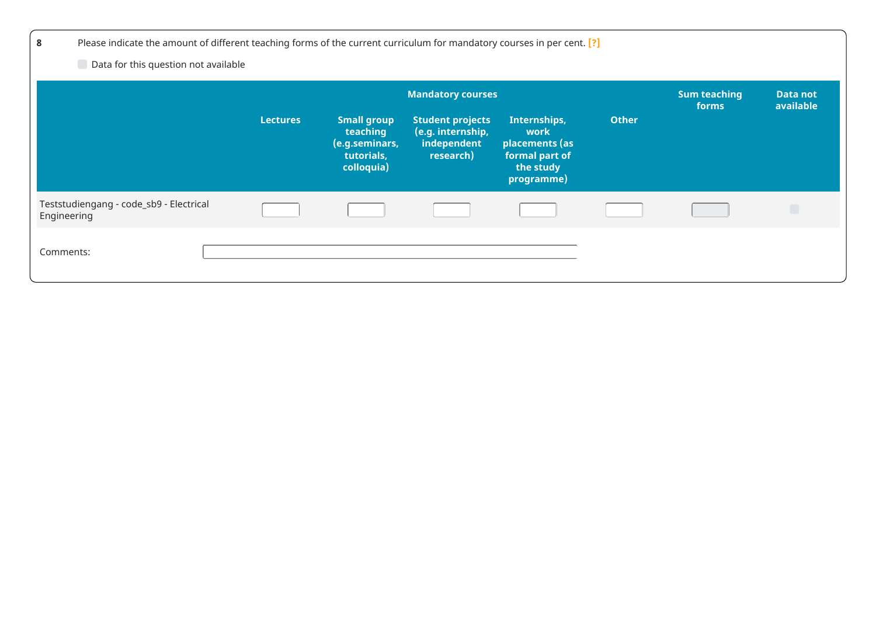| 8                                                      | Please indicate the amount of different teaching forms of the current curriculum for mandatory courses in per cent. [?] |                                                                              |                                                                          |                                                                                     |              |                                     |                       |
|--------------------------------------------------------|-------------------------------------------------------------------------------------------------------------------------|------------------------------------------------------------------------------|--------------------------------------------------------------------------|-------------------------------------------------------------------------------------|--------------|-------------------------------------|-----------------------|
| Data for this question not available                   |                                                                                                                         |                                                                              |                                                                          |                                                                                     |              |                                     |                       |
|                                                        |                                                                                                                         |                                                                              | <b>Mandatory courses</b>                                                 |                                                                                     |              | <b>Sum teaching</b><br><b>forms</b> | Data not<br>available |
|                                                        | <b>Lectures</b>                                                                                                         | <b>Small group</b><br>teaching<br>(e.g.seminars,<br>tutorials,<br>colloquia) | <b>Student projects</b><br>(e.g. internship,<br>independent<br>research) | Internships,<br>work<br>placements (as<br>formal part of<br>the study<br>programme) | <b>Other</b> |                                     |                       |
| Teststudiengang - code_sb9 - Electrical<br>Engineering |                                                                                                                         |                                                                              |                                                                          |                                                                                     |              |                                     |                       |
| Comments:                                              |                                                                                                                         |                                                                              |                                                                          |                                                                                     |              |                                     |                       |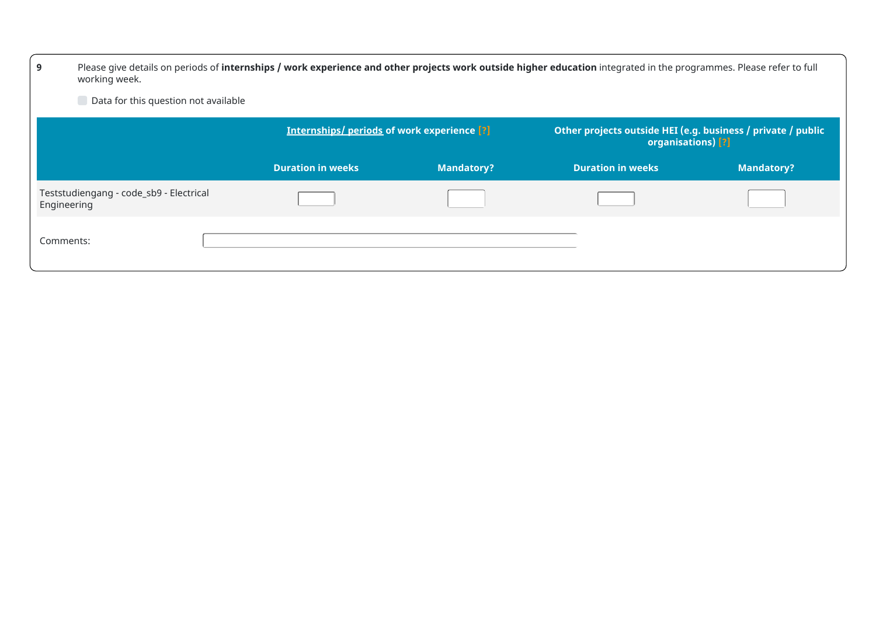| 9<br>working week.                                                                                                                      | Please give details on periods of internships / work experience and other projects work outside higher education integrated in the programmes. Please refer to full |                   |                          |                   |  |  |  |  |
|-----------------------------------------------------------------------------------------------------------------------------------------|---------------------------------------------------------------------------------------------------------------------------------------------------------------------|-------------------|--------------------------|-------------------|--|--|--|--|
|                                                                                                                                         | Data for this question not available                                                                                                                                |                   |                          |                   |  |  |  |  |
| <b>Internships/periods of work experience [?]</b><br>Other projects outside HEI (e.g. business / private / public<br>organisations) [?] |                                                                                                                                                                     |                   |                          |                   |  |  |  |  |
|                                                                                                                                         | <b>Duration in weeks</b>                                                                                                                                            | <b>Mandatory?</b> | <b>Duration in weeks</b> | <b>Mandatory?</b> |  |  |  |  |
| Teststudiengang - code_sb9 - Electrical<br>Engineering                                                                                  |                                                                                                                                                                     |                   |                          |                   |  |  |  |  |
| Comments:                                                                                                                               |                                                                                                                                                                     |                   |                          |                   |  |  |  |  |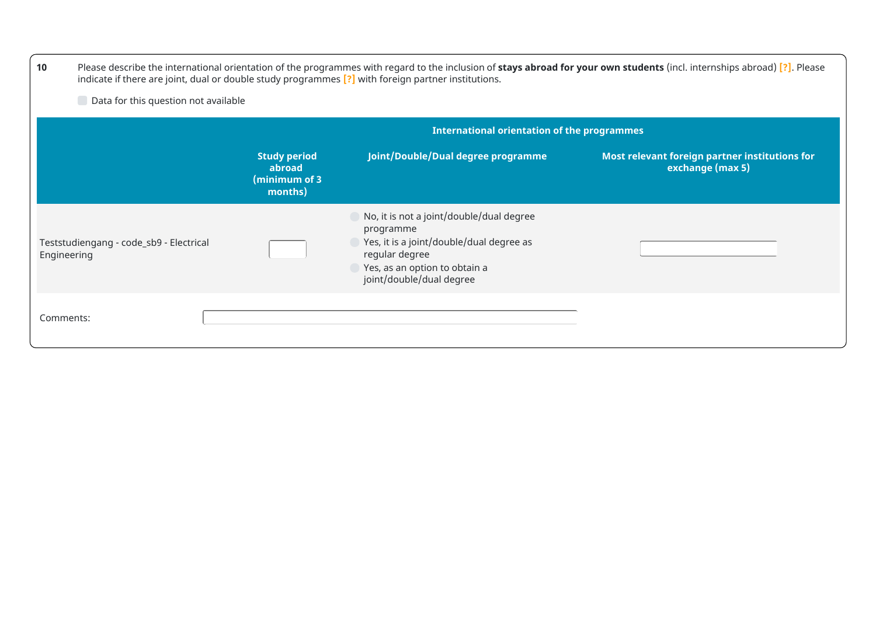| 10                                                                                                                                                                    | Please describe the international orientation of the programmes with regard to the inclusion of stays abroad for your own students (incl. internships abroad) [?]. Please<br>indicate if there are joint, dual or double study programmes [?] with foreign partner institutions. |                                                                                                                                                                                  |  |  |  |  |  |
|-----------------------------------------------------------------------------------------------------------------------------------------------------------------------|----------------------------------------------------------------------------------------------------------------------------------------------------------------------------------------------------------------------------------------------------------------------------------|----------------------------------------------------------------------------------------------------------------------------------------------------------------------------------|--|--|--|--|--|
| Data for this question not available                                                                                                                                  |                                                                                                                                                                                                                                                                                  |                                                                                                                                                                                  |  |  |  |  |  |
|                                                                                                                                                                       | <b>International orientation of the programmes</b>                                                                                                                                                                                                                               |                                                                                                                                                                                  |  |  |  |  |  |
| Joint/Double/Dual degree programme<br><b>Study period</b><br>Most relevant foreign partner institutions for<br>exchange (max 5)<br>abroad<br>(minimum of 3<br>months) |                                                                                                                                                                                                                                                                                  |                                                                                                                                                                                  |  |  |  |  |  |
| Teststudiengang - code_sb9 - Electrical<br>Engineering                                                                                                                |                                                                                                                                                                                                                                                                                  | No, it is not a joint/double/dual degree<br>programme<br>Yes, it is a joint/double/dual degree as<br>regular degree<br>Yes, as an option to obtain a<br>joint/double/dual degree |  |  |  |  |  |
| Comments:                                                                                                                                                             |                                                                                                                                                                                                                                                                                  |                                                                                                                                                                                  |  |  |  |  |  |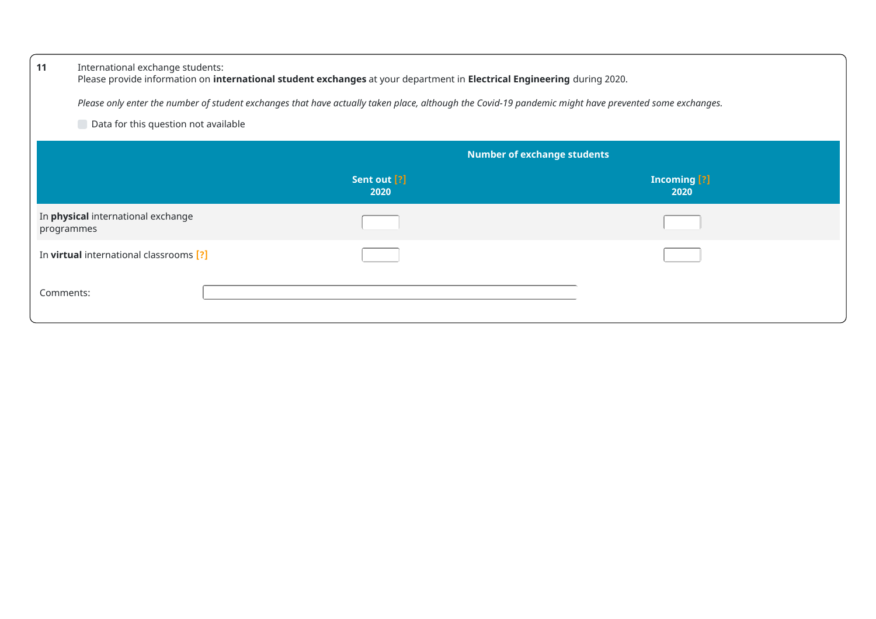| 11         | International exchange students:<br>Please provide information on international student exchanges at your department in Electrical Engineering during 2020.<br>Please only enter the number of student exchanges that have actually taken place, although the Covid-19 pandemic might have prevented some exchanges.<br>Data for this question not available |                      |                             |  |  |
|------------|--------------------------------------------------------------------------------------------------------------------------------------------------------------------------------------------------------------------------------------------------------------------------------------------------------------------------------------------------------------|----------------------|-----------------------------|--|--|
|            | <b>Number of exchange students</b>                                                                                                                                                                                                                                                                                                                           |                      |                             |  |  |
|            |                                                                                                                                                                                                                                                                                                                                                              | Sent out [?]<br>2020 | <b>Incoming [?]</b><br>2020 |  |  |
| programmes | In <b>physical</b> international exchange                                                                                                                                                                                                                                                                                                                    |                      |                             |  |  |
|            | In virtual international classrooms [?]                                                                                                                                                                                                                                                                                                                      |                      |                             |  |  |
| Comments:  |                                                                                                                                                                                                                                                                                                                                                              |                      |                             |  |  |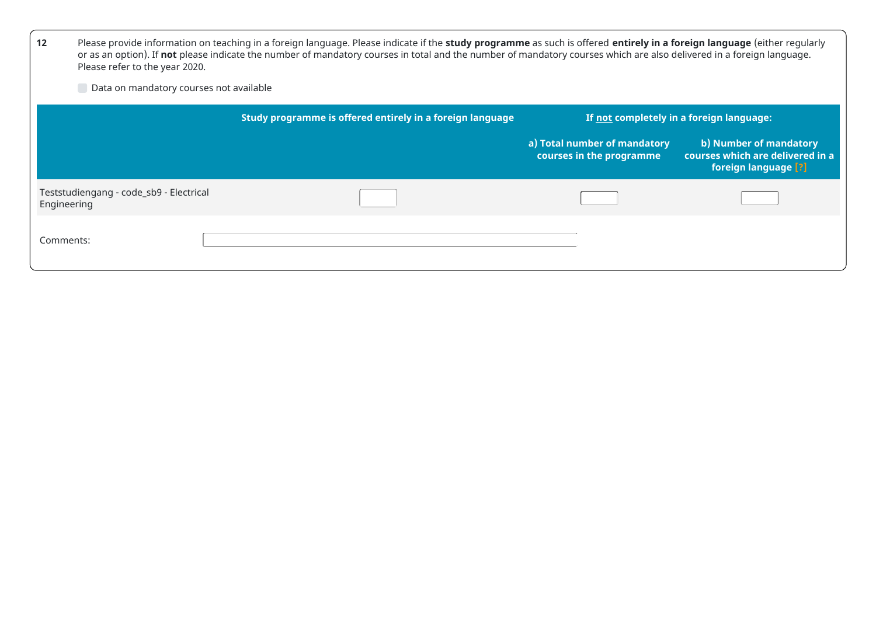| 12          | Please provide information on teaching in a foreign language. Please indicate if the study programme as such is offered entirely in a foreign language (either regularly<br>or as an option). If not please indicate the number of mandatory courses in total and the number of mandatory courses which are also delivered in a foreign language.<br>Please refer to the year 2020. |                                                           |                                                          |                                                                                    |  |
|-------------|-------------------------------------------------------------------------------------------------------------------------------------------------------------------------------------------------------------------------------------------------------------------------------------------------------------------------------------------------------------------------------------|-----------------------------------------------------------|----------------------------------------------------------|------------------------------------------------------------------------------------|--|
|             | Data on mandatory courses not available                                                                                                                                                                                                                                                                                                                                             |                                                           |                                                          |                                                                                    |  |
|             |                                                                                                                                                                                                                                                                                                                                                                                     | Study programme is offered entirely in a foreign language |                                                          | If not completely in a foreign language:                                           |  |
|             |                                                                                                                                                                                                                                                                                                                                                                                     |                                                           | a) Total number of mandatory<br>courses in the programme | b) Number of mandatory<br>courses which are delivered in a<br>foreign language [?] |  |
| Engineering | Teststudiengang - code_sb9 - Electrical                                                                                                                                                                                                                                                                                                                                             |                                                           |                                                          |                                                                                    |  |
| Comments:   |                                                                                                                                                                                                                                                                                                                                                                                     |                                                           |                                                          |                                                                                    |  |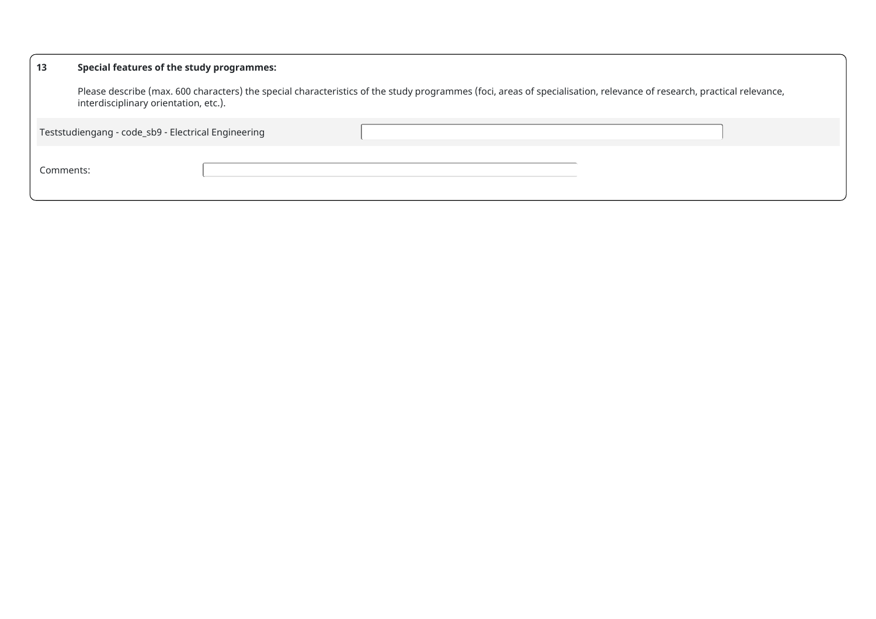#### **13 Special features of the study programmes:**

Please describe (max. 600 characters) the special characteristics of the study programmes (foci, areas of specialisation, relevance of research, practical relevance, interdisciplinary orientation, etc.).

Teststudiengang - code\_sb9 - Electrical Engineering

Comments: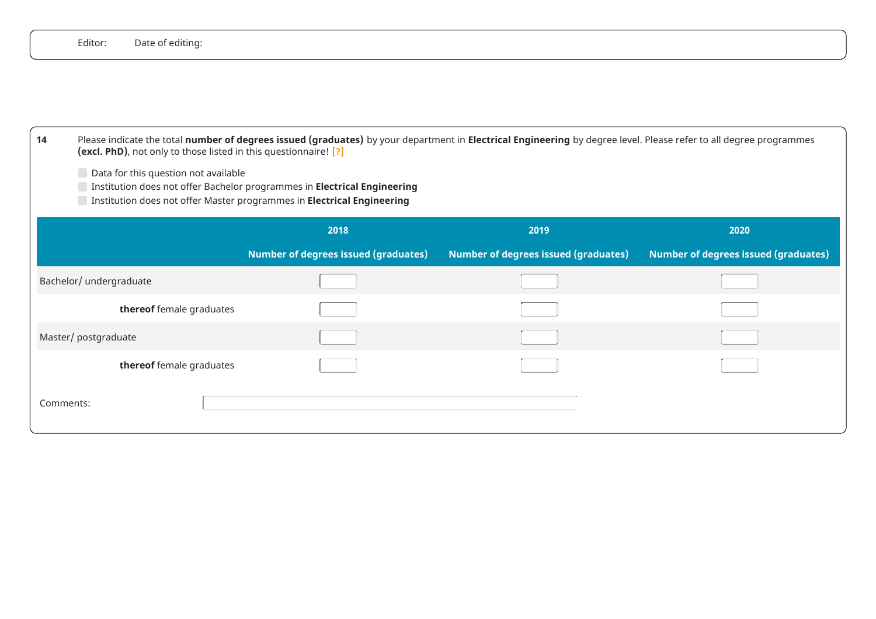| Editor:<br>Date of editing:                                            |                                                                                                                                                                                            |                                             |                                      |  |  |  |
|------------------------------------------------------------------------|--------------------------------------------------------------------------------------------------------------------------------------------------------------------------------------------|---------------------------------------------|--------------------------------------|--|--|--|
|                                                                        |                                                                                                                                                                                            |                                             |                                      |  |  |  |
|                                                                        |                                                                                                                                                                                            |                                             |                                      |  |  |  |
|                                                                        |                                                                                                                                                                                            |                                             |                                      |  |  |  |
| 14<br>(excl. PhD), not only to those listed in this questionnaire! [?] | Please indicate the total number of degrees issued (graduates) by your department in Electrical Engineering by degree level. Please refer to all degree programmes                         |                                             |                                      |  |  |  |
|                                                                        | Data for this question not available<br>Institution does not offer Bachelor programmes in Electrical Engineering<br>Institution does not offer Master programmes in Electrical Engineering |                                             |                                      |  |  |  |
|                                                                        | 2018                                                                                                                                                                                       | 2019                                        | 2020                                 |  |  |  |
|                                                                        |                                                                                                                                                                                            |                                             |                                      |  |  |  |
|                                                                        | <b>Number of degrees issued (graduates)</b>                                                                                                                                                | <b>Number of degrees issued (graduates)</b> | Number of degrees issued (graduates) |  |  |  |
| Bachelor/ undergraduate                                                |                                                                                                                                                                                            |                                             |                                      |  |  |  |
| thereof female graduates                                               |                                                                                                                                                                                            |                                             |                                      |  |  |  |
| Master/ postgraduate                                                   |                                                                                                                                                                                            |                                             |                                      |  |  |  |
| thereof female graduates                                               |                                                                                                                                                                                            |                                             |                                      |  |  |  |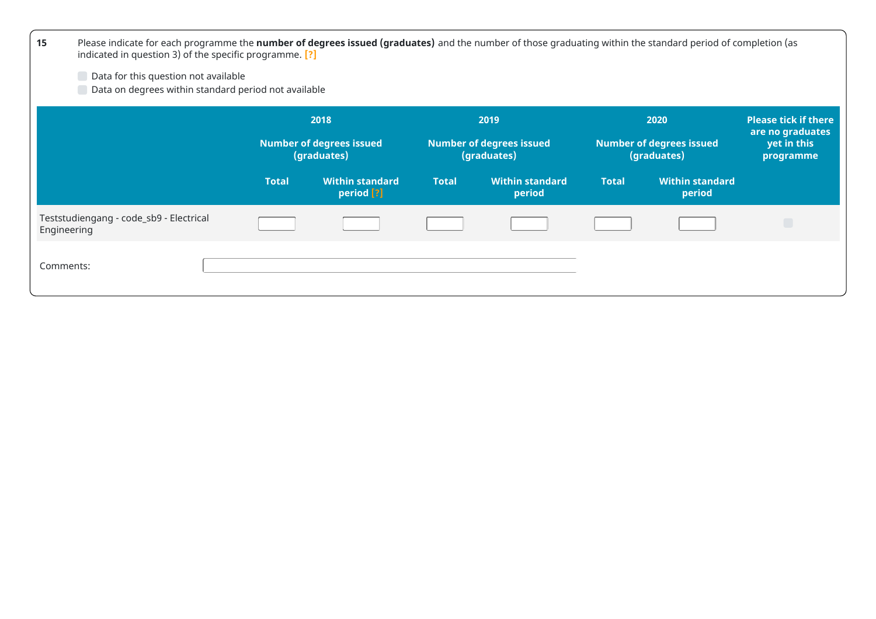| 15          | Please indicate for each programme the number of degrees issued (graduates) and the number of those graduating within the standard period of completion (as<br>indicated in question 3) of the specific programme. [?] |              |                                                |              |                                                |              |                                                |                                                 |
|-------------|------------------------------------------------------------------------------------------------------------------------------------------------------------------------------------------------------------------------|--------------|------------------------------------------------|--------------|------------------------------------------------|--------------|------------------------------------------------|-------------------------------------------------|
|             | Data for this question not available<br>Data on degrees within standard period not available                                                                                                                           |              |                                                |              |                                                |              |                                                |                                                 |
|             |                                                                                                                                                                                                                        |              | 2018                                           |              | 2019                                           |              | 2020                                           | <b>Please tick if there</b><br>are no graduates |
|             |                                                                                                                                                                                                                        |              | <b>Number of degrees issued</b><br>(graduates) |              | <b>Number of degrees issued</b><br>(graduates) |              | <b>Number of degrees issued</b><br>(graduates) | yet in this<br>programme                        |
|             |                                                                                                                                                                                                                        | <b>Total</b> | <b>Within standard</b><br>period [?]           | <b>Total</b> | <b>Within standard</b><br>period               | <b>Total</b> | <b>Within standard</b><br>period               |                                                 |
| Engineering | Teststudiengang - code_sb9 - Electrical                                                                                                                                                                                |              |                                                |              |                                                |              |                                                | $\Box$                                          |
| Comments:   |                                                                                                                                                                                                                        |              |                                                |              |                                                |              |                                                |                                                 |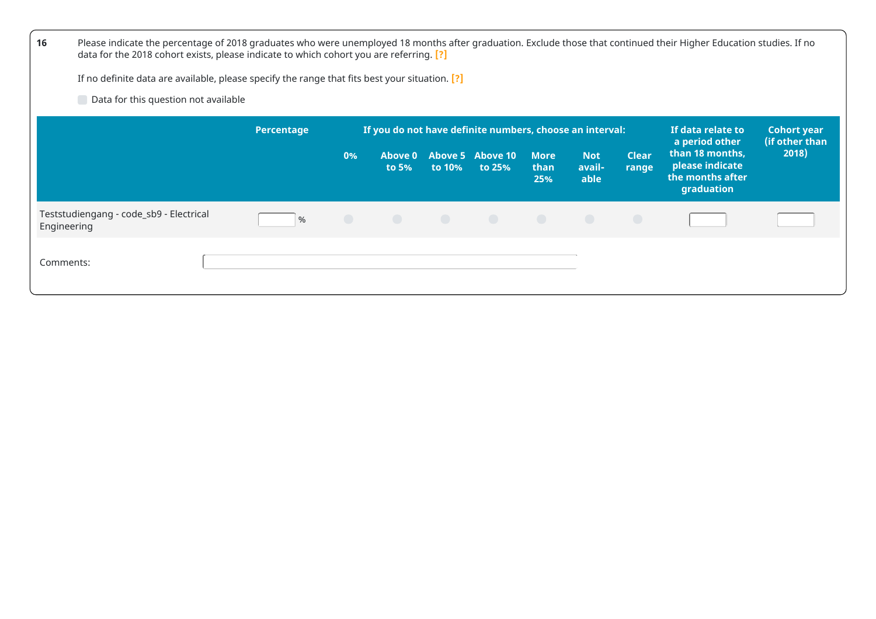| 16                                                     | Please indicate the percentage of 2018 graduates who were unemployed 18 months after graduation. Exclude those that continued their Higher Education studies. If no<br>data for the 2018 cohort exists, please indicate to which cohort you are referring. [?] |            |                         |        |                                                          |                            |                              |                       |                                                                      |                                      |
|--------------------------------------------------------|----------------------------------------------------------------------------------------------------------------------------------------------------------------------------------------------------------------------------------------------------------------|------------|-------------------------|--------|----------------------------------------------------------|----------------------------|------------------------------|-----------------------|----------------------------------------------------------------------|--------------------------------------|
|                                                        | If no definite data are available, please specify the range that fits best your situation. [?]                                                                                                                                                                 |            |                         |        |                                                          |                            |                              |                       |                                                                      |                                      |
| Data for this question not available                   |                                                                                                                                                                                                                                                                |            |                         |        |                                                          |                            |                              |                       |                                                                      |                                      |
|                                                        | Percentage                                                                                                                                                                                                                                                     |            |                         |        | If you do not have definite numbers, choose an interval: |                            |                              |                       | If data relate to<br>a period other                                  | <b>Cohort year</b><br>(if other than |
|                                                        |                                                                                                                                                                                                                                                                | 0%         | <b>Above 0</b><br>to 5% | to 10% | Above 5 Above 10<br>to 25%                               | <b>More</b><br>than<br>25% | <b>Not</b><br>avail-<br>able | <b>Clear</b><br>range | than 18 months,<br>please indicate<br>the months after<br>graduation | 2018)                                |
| Teststudiengang - code_sb9 - Electrical<br>Engineering | $\%$                                                                                                                                                                                                                                                           | $\bigcirc$ |                         |        |                                                          |                            |                              |                       |                                                                      |                                      |
| Comments:                                              |                                                                                                                                                                                                                                                                |            |                         |        |                                                          |                            |                              |                       |                                                                      |                                      |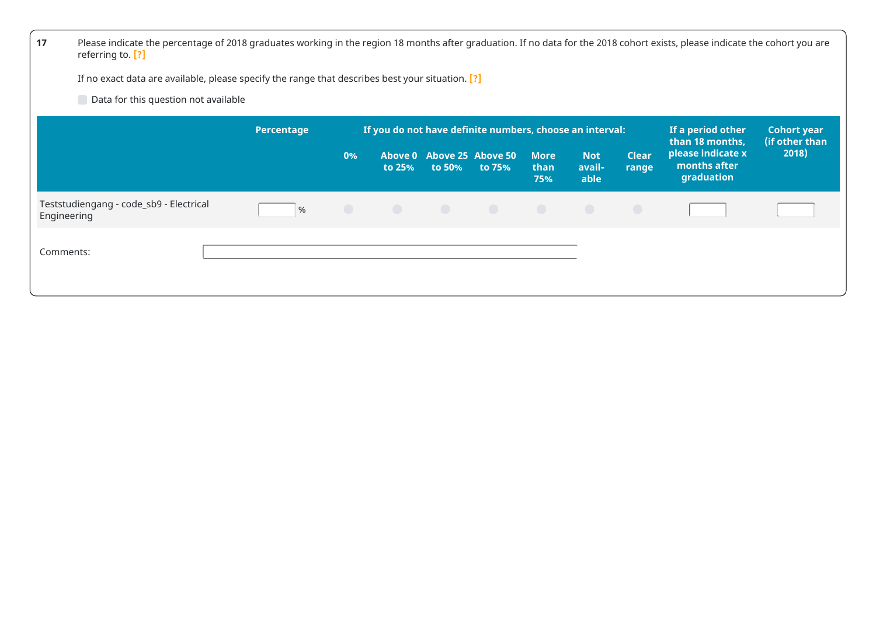| 17<br>Please indicate the percentage of 2018 graduates working in the region 18 months after graduation. If no data for the 2018 cohort exists, please indicate the cohort you are<br>referring to. [?] |            |            |        |                                     |                                                          |                            |                              |                       |                                                 |                                      |
|---------------------------------------------------------------------------------------------------------------------------------------------------------------------------------------------------------|------------|------------|--------|-------------------------------------|----------------------------------------------------------|----------------------------|------------------------------|-----------------------|-------------------------------------------------|--------------------------------------|
| If no exact data are available, please specify the range that describes best your situation. [?]                                                                                                        |            |            |        |                                     |                                                          |                            |                              |                       |                                                 |                                      |
| Data for this question not available                                                                                                                                                                    |            |            |        |                                     |                                                          |                            |                              |                       |                                                 |                                      |
|                                                                                                                                                                                                         | Percentage |            |        |                                     | If you do not have definite numbers, choose an interval: |                            |                              |                       | If a period other<br>than 18 months,            | <b>Cohort year</b><br>(if other than |
|                                                                                                                                                                                                         |            | 0%         | to 25% | Above 0 Above 25 Above 50<br>to 50% | to 75%                                                   | <b>More</b><br>than<br>75% | <b>Not</b><br>avail-<br>able | <b>Clear</b><br>range | please indicate x<br>months after<br>graduation | 2018)                                |
| Teststudiengang - code_sb9 - Electrical<br>Engineering                                                                                                                                                  | $\%$       | $\bigcirc$ |        |                                     | <b>.</b>                                                 |                            |                              |                       |                                                 |                                      |
| Comments:                                                                                                                                                                                               |            |            |        |                                     |                                                          |                            |                              |                       |                                                 |                                      |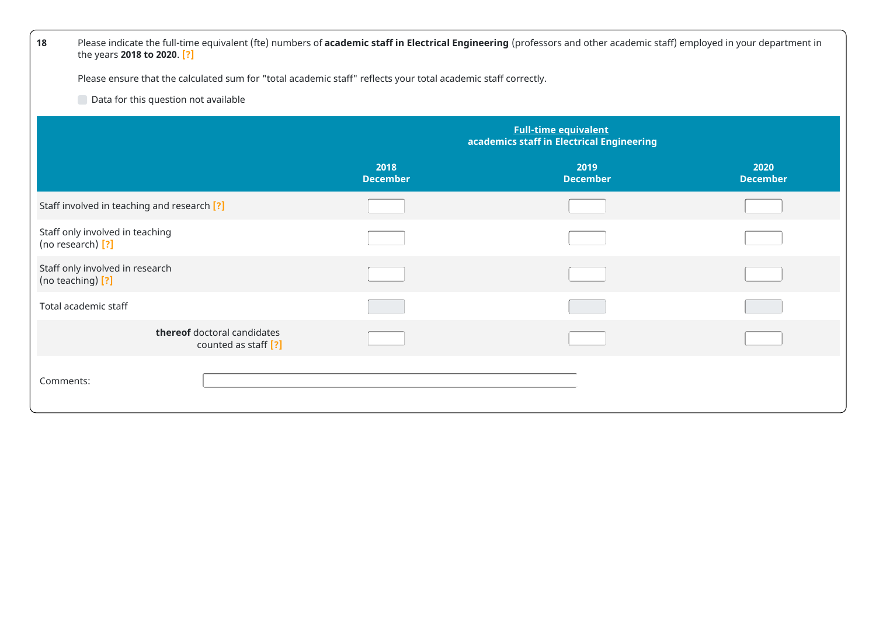| 18                                                   | Please indicate the full-time equivalent (fte) numbers of academic staff in Electrical Engineering (professors and other academic staff) employed in your department in<br>the years 2018 to 2020. [?] |                                                                                                                |                                                                          |                         |  |
|------------------------------------------------------|--------------------------------------------------------------------------------------------------------------------------------------------------------------------------------------------------------|----------------------------------------------------------------------------------------------------------------|--------------------------------------------------------------------------|-------------------------|--|
|                                                      |                                                                                                                                                                                                        | Please ensure that the calculated sum for "total academic staff" reflects your total academic staff correctly. |                                                                          |                         |  |
| Data for this question not available                 |                                                                                                                                                                                                        |                                                                                                                |                                                                          |                         |  |
|                                                      |                                                                                                                                                                                                        |                                                                                                                | <b>Full-time equivalent</b><br>academics staff in Electrical Engineering |                         |  |
|                                                      |                                                                                                                                                                                                        | 2018<br><b>December</b>                                                                                        | 2019<br><b>December</b>                                                  | 2020<br><b>December</b> |  |
| Staff involved in teaching and research [?]          |                                                                                                                                                                                                        |                                                                                                                |                                                                          |                         |  |
| Staff only involved in teaching<br>(no research) [?] |                                                                                                                                                                                                        |                                                                                                                |                                                                          |                         |  |
| Staff only involved in research<br>(no teaching) [?] |                                                                                                                                                                                                        |                                                                                                                |                                                                          |                         |  |
| Total academic staff                                 |                                                                                                                                                                                                        |                                                                                                                |                                                                          |                         |  |
|                                                      | thereof doctoral candidates<br>counted as staff [?]                                                                                                                                                    |                                                                                                                |                                                                          |                         |  |
| Comments:                                            |                                                                                                                                                                                                        |                                                                                                                |                                                                          |                         |  |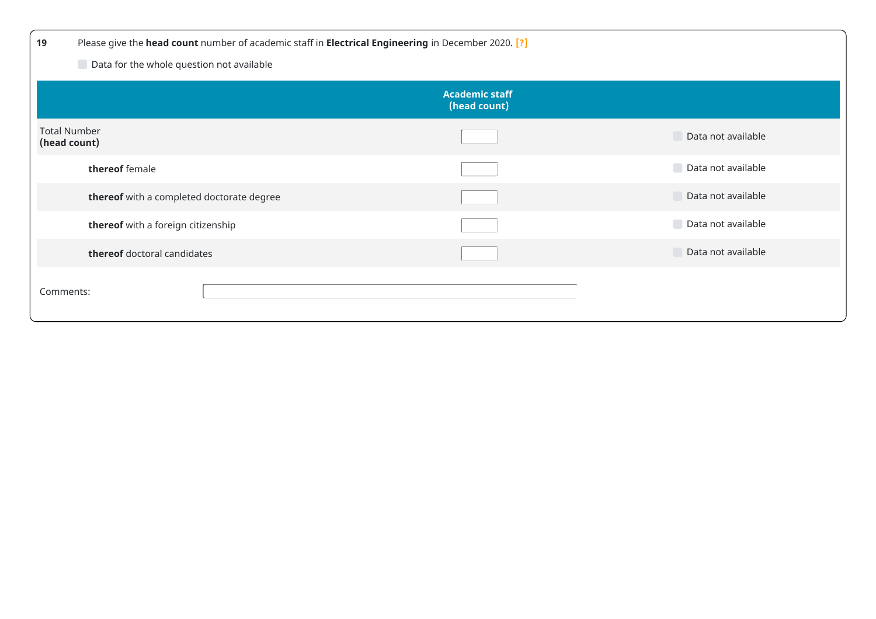| 19           | Please give the head count number of academic staff in Electrical Engineering in December 2020. [?] |                                       |                    |  |  |
|--------------|-----------------------------------------------------------------------------------------------------|---------------------------------------|--------------------|--|--|
|              | Data for the whole question not available                                                           |                                       |                    |  |  |
|              |                                                                                                     | <b>Academic staff</b><br>(head count) |                    |  |  |
| (head count) | <b>Total Number</b>                                                                                 |                                       | Data not available |  |  |
|              | thereof female                                                                                      |                                       | Data not available |  |  |
|              | thereof with a completed doctorate degree                                                           |                                       | Data not available |  |  |
|              | thereof with a foreign citizenship                                                                  |                                       | Data not available |  |  |
|              | thereof doctoral candidates                                                                         |                                       | Data not available |  |  |
| Comments:    |                                                                                                     |                                       |                    |  |  |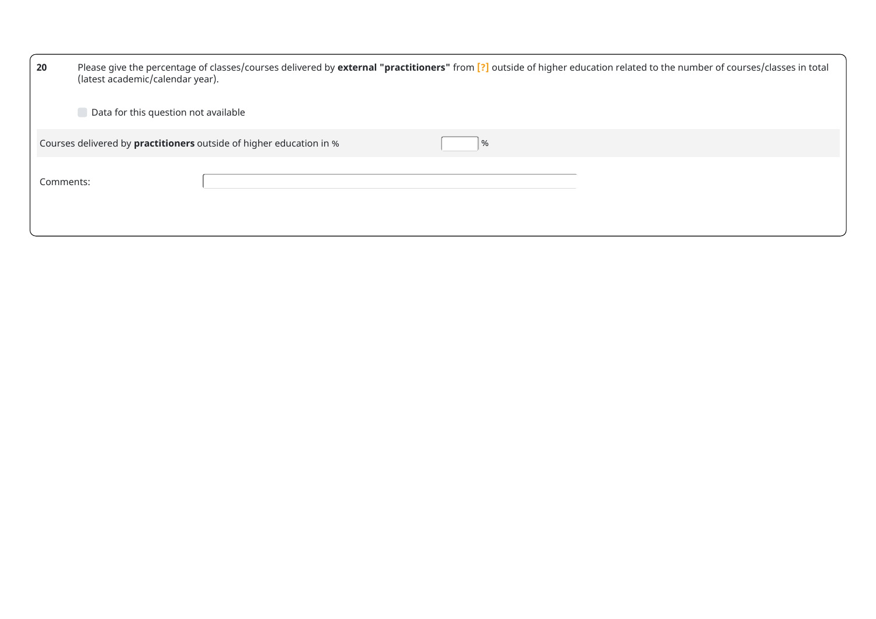| 20        | Please give the percentage of classes/courses delivered by external "practitioners" from [?] outside of higher education related to the number of courses/classes in total<br>(latest academic/calendar year). |
|-----------|----------------------------------------------------------------------------------------------------------------------------------------------------------------------------------------------------------------|
|           | Data for this question not available                                                                                                                                                                           |
|           | Courses delivered by practitioners outside of higher education in %<br>%                                                                                                                                       |
| Comments: |                                                                                                                                                                                                                |
|           |                                                                                                                                                                                                                |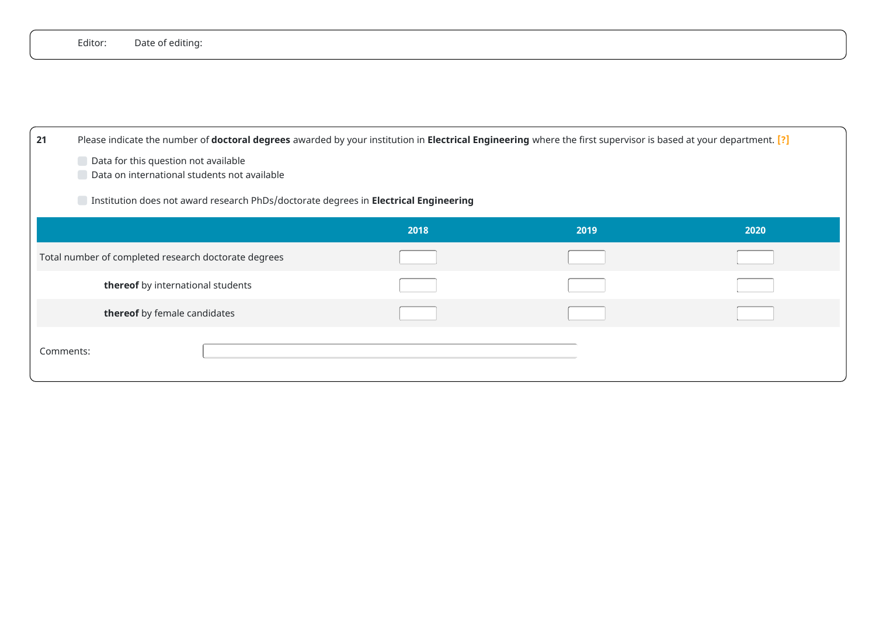|    | Editor: | Date of editing:                                                                                                                                                 |  |
|----|---------|------------------------------------------------------------------------------------------------------------------------------------------------------------------|--|
|    |         |                                                                                                                                                                  |  |
|    |         |                                                                                                                                                                  |  |
|    |         |                                                                                                                                                                  |  |
| 21 |         | Please indicate the number of doctoral degrees awarded by your institution in Electrical Engineering where the first supervisor is based at your department. [?] |  |
|    |         | Data for this question not available<br>Data on international students not available                                                                             |  |
|    |         | Institution does not award research PhDs/doctorate degrees in Electrical Engineering                                                                             |  |
|    |         |                                                                                                                                                                  |  |

|                                                      | 2018 | 2019 | 2020 |
|------------------------------------------------------|------|------|------|
| Total number of completed research doctorate degrees |      |      |      |
| thereof by international students                    |      |      |      |
| thereof by female candidates                         |      |      |      |
| Comments:                                            |      |      |      |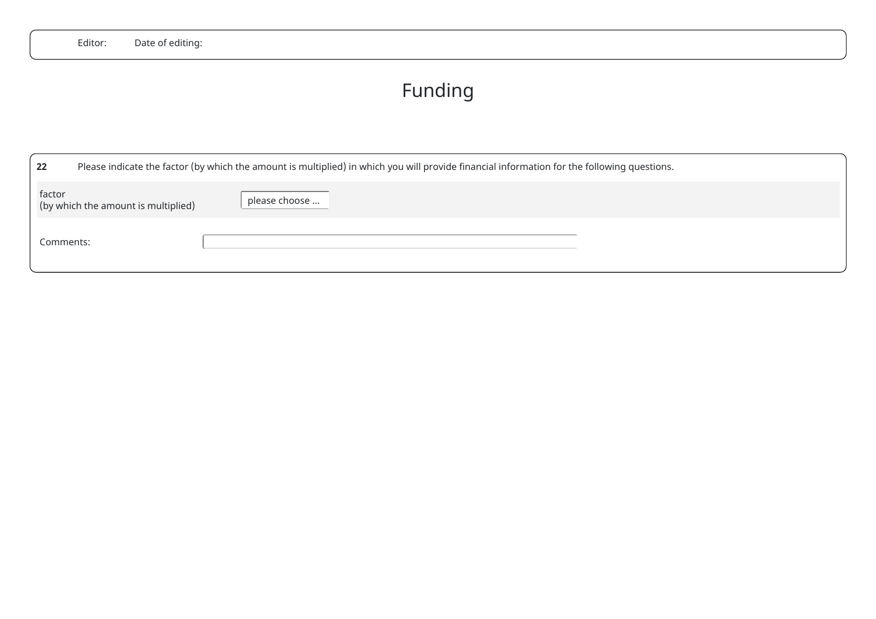## Funding

| 22        |                                     | Please indicate the factor (by which the amount is multiplied) in which you will provide financial information for the following questions. |
|-----------|-------------------------------------|---------------------------------------------------------------------------------------------------------------------------------------------|
| factor    | (by which the amount is multiplied) | please choose                                                                                                                               |
| Comments: |                                     |                                                                                                                                             |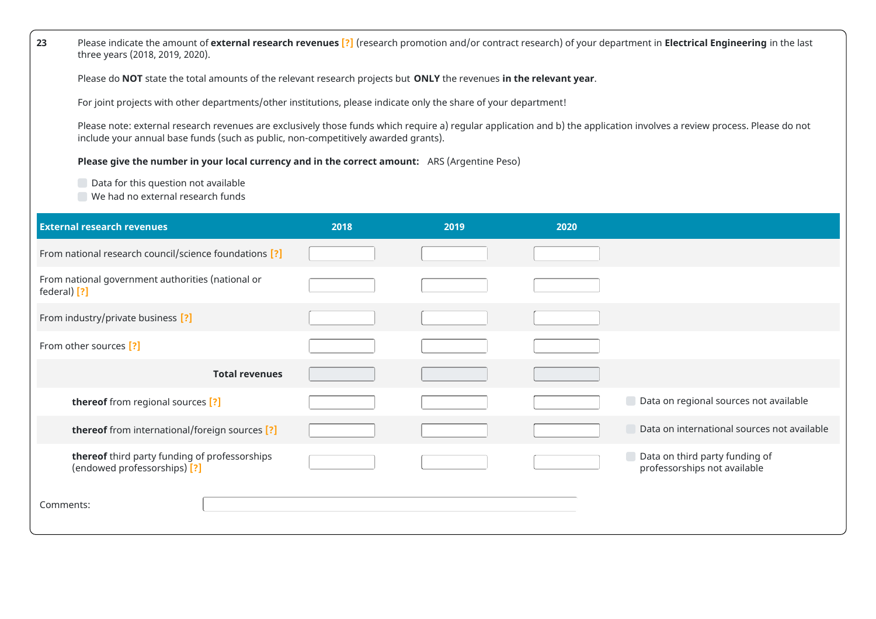**23** Please indicate the amount of **external research revenues [?]** (research promotion and/or contract research) of your department in **Electrical Engineering** in the last three years (2018, 2019, 2020).

Please do **NOT** state the total amounts of the relevant research projects but **ONLY** the revenues **in the relevant year**.

For joint projects with other departments/other institutions, please indicate only the share of your department!

Please note: external research revenues are exclusively those funds which require a) regular application and b) the application involves a review process. Please do not include your annual base funds (such as public, non-competitively awarded grants).

**Please give the number in your local currency and in the correct amount:** ARS (Argentine Peso)

Data for this question not available

We had no external research funds

| <b>External research revenues</b>                                             | 2018 | 2019 | 2020 |                                                                |
|-------------------------------------------------------------------------------|------|------|------|----------------------------------------------------------------|
| From national research council/science foundations [?]                        |      |      |      |                                                                |
| From national government authorities (national or<br>federal) [?]             |      |      |      |                                                                |
| From industry/private business [?]                                            |      |      |      |                                                                |
| From other sources [?]                                                        |      |      |      |                                                                |
| <b>Total revenues</b>                                                         |      |      |      |                                                                |
| thereof from regional sources [?]                                             |      |      |      | Data on regional sources not available                         |
| thereof from international/foreign sources [?]                                |      |      |      | Data on international sources not available                    |
| thereof third party funding of professorships<br>(endowed professorships) [?] |      |      |      | Data on third party funding of<br>professorships not available |
| Comments:                                                                     |      |      |      |                                                                |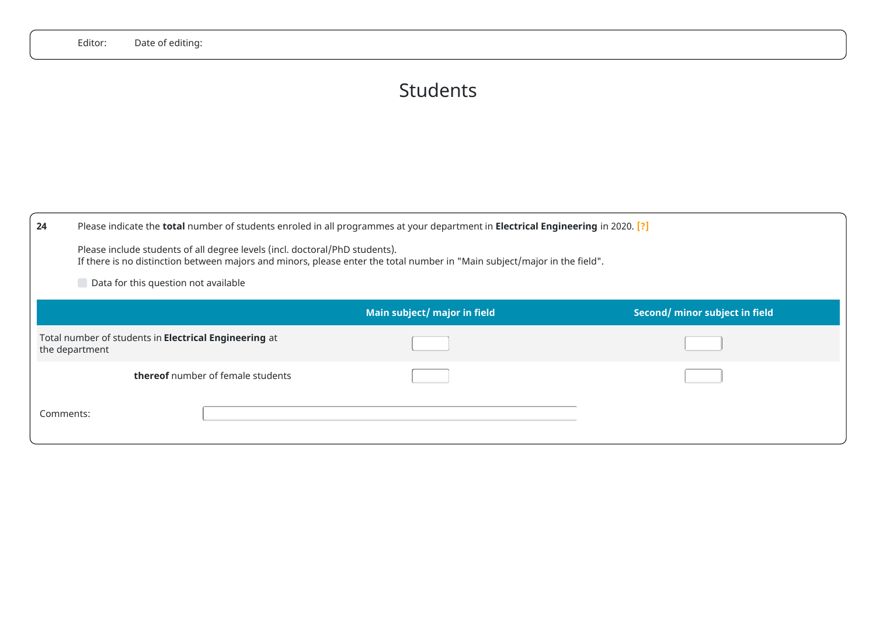## Students

| 24                                                                      | Please indicate the total number of students enroled in all programmes at your department in Electrical Engineering in 2020. [?]<br>Please include students of all degree levels (incl. doctoral/PhD students).<br>If there is no distinction between majors and minors, please enter the total number in "Main subject/major in the field".<br>Data for this question not available |                              |                                |  |
|-------------------------------------------------------------------------|--------------------------------------------------------------------------------------------------------------------------------------------------------------------------------------------------------------------------------------------------------------------------------------------------------------------------------------------------------------------------------------|------------------------------|--------------------------------|--|
|                                                                         |                                                                                                                                                                                                                                                                                                                                                                                      | Main subject/ major in field | Second/ minor subject in field |  |
| Total number of students in Electrical Engineering at<br>the department |                                                                                                                                                                                                                                                                                                                                                                                      |                              |                                |  |
|                                                                         | <b>thereof</b> number of female students                                                                                                                                                                                                                                                                                                                                             |                              |                                |  |
| Comments:                                                               |                                                                                                                                                                                                                                                                                                                                                                                      |                              |                                |  |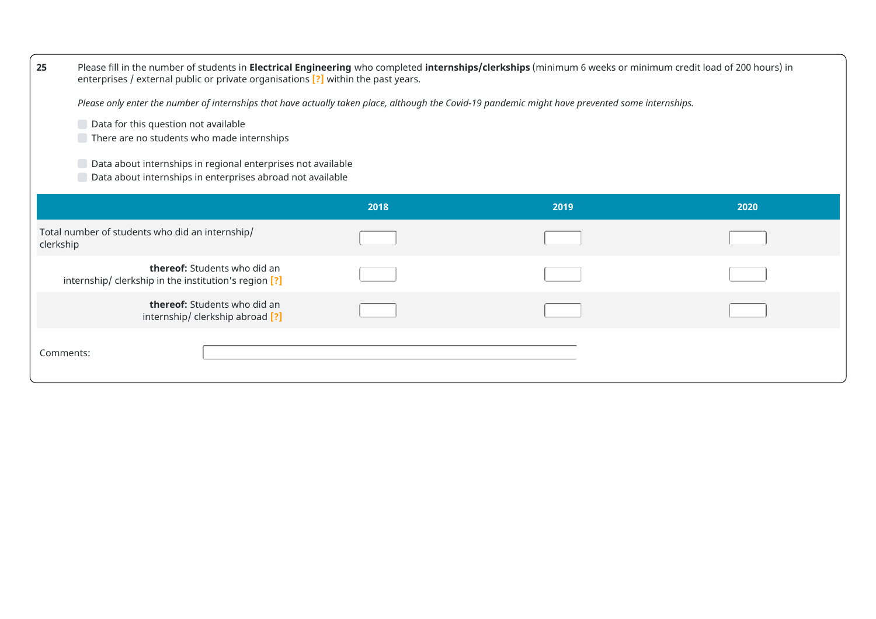| 25        | Please fill in the number of students in Electrical Engineering who completed internships/clerkships (minimum 6 weeks or minimum credit load of 200 hours) in<br>enterprises / external public or private organisations [?] within the past years. |      |      |      |
|-----------|----------------------------------------------------------------------------------------------------------------------------------------------------------------------------------------------------------------------------------------------------|------|------|------|
|           | Please only enter the number of internships that have actually taken place, although the Covid-19 pandemic might have prevented some internships.                                                                                                  |      |      |      |
|           | Data for this question not available<br>There are no students who made internships                                                                                                                                                                 |      |      |      |
|           | Data about internships in regional enterprises not available<br>Data about internships in enterprises abroad not available                                                                                                                         |      |      |      |
|           |                                                                                                                                                                                                                                                    | 2018 | 2019 | 2020 |
| clerkship | Total number of students who did an internship/                                                                                                                                                                                                    |      |      |      |
|           | thereof: Students who did an<br>internship/ clerkship in the institution's region [?]                                                                                                                                                              |      |      |      |
|           | <b>thereof:</b> Students who did an<br>internship/ clerkship abroad [?]                                                                                                                                                                            |      |      |      |
| Comments: |                                                                                                                                                                                                                                                    |      |      |      |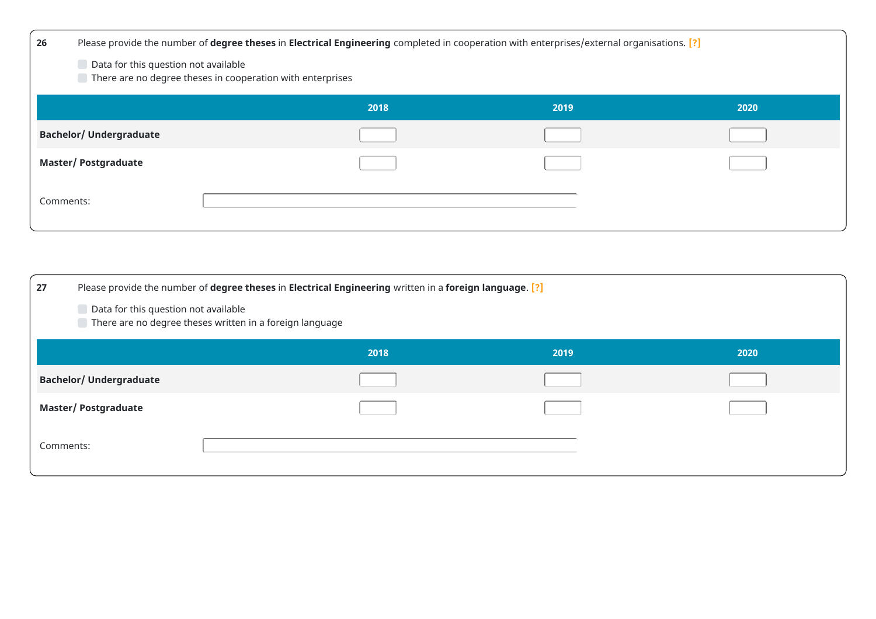| 26                             | Please provide the number of degree theses in Electrical Engineering completed in cooperation with enterprises/external organisations. [?] |      |      |
|--------------------------------|--------------------------------------------------------------------------------------------------------------------------------------------|------|------|
|                                | Data for this question not available<br>There are no degree theses in cooperation with enterprises                                         |      |      |
|                                | 2018                                                                                                                                       | 2019 | 2020 |
| <b>Bachelor/ Undergraduate</b> |                                                                                                                                            |      |      |
| <b>Master/Postgraduate</b>     |                                                                                                                                            |      |      |
| Comments:                      |                                                                                                                                            |      |      |

| 27                             | Please provide the number of degree theses in Electrical Engineering written in a foreign language. [?] |      |      |
|--------------------------------|---------------------------------------------------------------------------------------------------------|------|------|
|                                | Data for this question not available<br>There are no degree theses written in a foreign language        |      |      |
|                                | 2018                                                                                                    | 2019 | 2020 |
| <b>Bachelor/ Undergraduate</b> |                                                                                                         |      |      |
| <b>Master/Postgraduate</b>     |                                                                                                         |      |      |
| Comments:                      |                                                                                                         |      |      |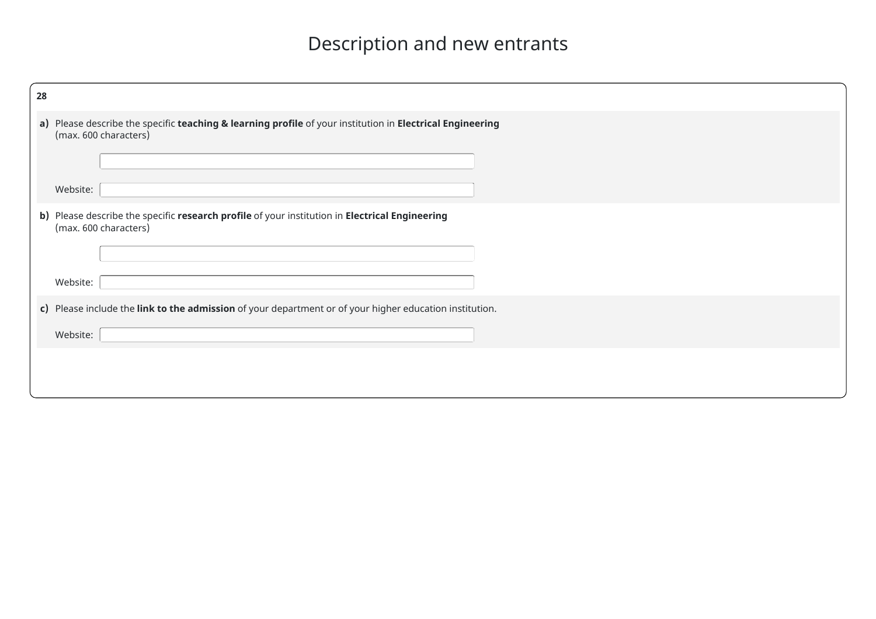# Description and new entrants

| 28 |                                                                                                                                    |
|----|------------------------------------------------------------------------------------------------------------------------------------|
|    | a) Please describe the specific teaching & learning profile of your institution in Electrical Engineering<br>(max. 600 characters) |
|    |                                                                                                                                    |
|    | Website:                                                                                                                           |
|    | b) Please describe the specific research profile of your institution in Electrical Engineering<br>(max. 600 characters)            |
|    |                                                                                                                                    |
|    | Website:                                                                                                                           |
|    | c) Please include the link to the admission of your department or of your higher education institution.                            |
|    | Website:                                                                                                                           |
|    |                                                                                                                                    |
|    |                                                                                                                                    |